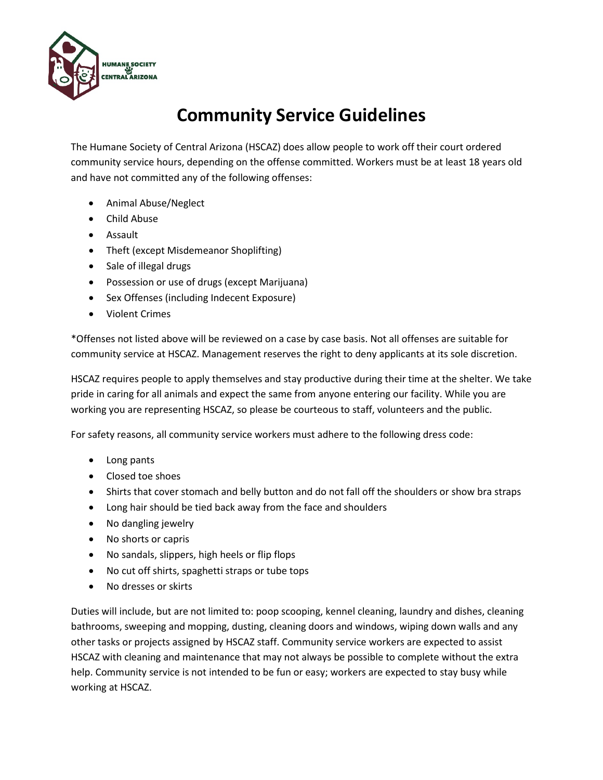

## **Community Service Guidelines**

The Humane Society of Central Arizona (HSCAZ) does allow people to work off their court ordered community service hours, depending on the offense committed. Workers must be at least 18 years old and have not committed any of the following offenses:

- Animal Abuse/Neglect
- Child Abuse
- Assault
- Theft (except Misdemeanor Shoplifting)
- Sale of illegal drugs
- Possession or use of drugs (except Marijuana)
- Sex Offenses (including Indecent Exposure)
- Violent Crimes

\*Offenses not listed above will be reviewed on a case by case basis. Not all offenses are suitable for community service at HSCAZ. Management reserves the right to deny applicants at its sole discretion.

HSCAZ requires people to apply themselves and stay productive during their time at the shelter. We take pride in caring for all animals and expect the same from anyone entering our facility. While you are working you are representing HSCAZ, so please be courteous to staff, volunteers and the public.

For safety reasons, all community service workers must adhere to the following dress code:

- Long pants
- Closed toe shoes
- Shirts that cover stomach and belly button and do not fall off the shoulders or show bra straps
- Long hair should be tied back away from the face and shoulders
- No dangling jewelry
- No shorts or capris
- No sandals, slippers, high heels or flip flops
- No cut off shirts, spaghetti straps or tube tops
- No dresses or skirts

Duties will include, but are not limited to: poop scooping, kennel cleaning, laundry and dishes, cleaning bathrooms, sweeping and mopping, dusting, cleaning doors and windows, wiping down walls and any other tasks or projects assigned by HSCAZ staff. Community service workers are expected to assist HSCAZ with cleaning and maintenance that may not always be possible to complete without the extra help. Community service is not intended to be fun or easy; workers are expected to stay busy while working at HSCAZ.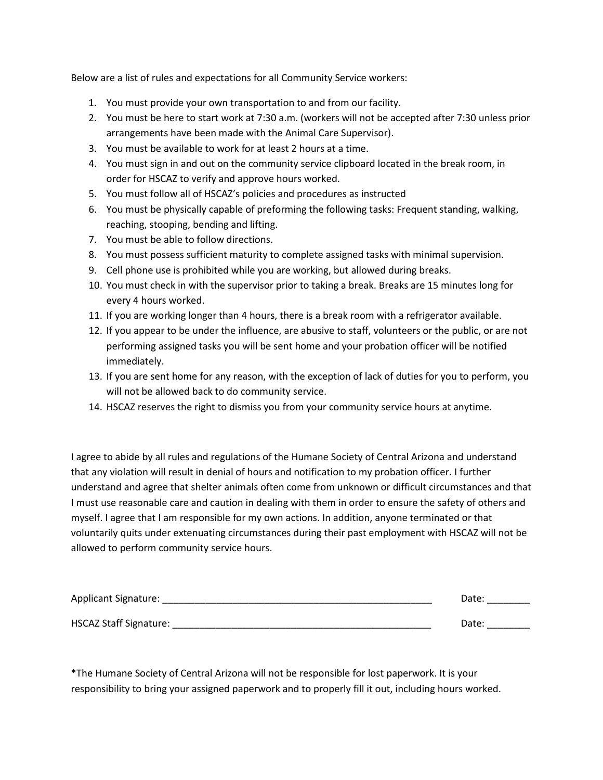Below are a list of rules and expectations for all Community Service workers:

- 1. You must provide your own transportation to and from our facility.
- 2. You must be here to start work at 7:30 a.m. (workers will not be accepted after 7:30 unless prior arrangements have been made with the Animal Care Supervisor).
- 3. You must be available to work for at least 2 hours at a time.
- 4. You must sign in and out on the community service clipboard located in the break room, in order for HSCAZ to verify and approve hours worked.
- 5. You must follow all of HSCAZ's policies and procedures as instructed
- 6. You must be physically capable of preforming the following tasks: Frequent standing, walking, reaching, stooping, bending and lifting.
- 7. You must be able to follow directions.
- 8. You must possess sufficient maturity to complete assigned tasks with minimal supervision.
- 9. Cell phone use is prohibited while you are working, but allowed during breaks.
- 10. You must check in with the supervisor prior to taking a break. Breaks are 15 minutes long for every 4 hours worked.
- 11. If you are working longer than 4 hours, there is a break room with a refrigerator available.
- 12. If you appear to be under the influence, are abusive to staff, volunteers or the public, or are not performing assigned tasks you will be sent home and your probation officer will be notified immediately.
- 13. If you are sent home for any reason, with the exception of lack of duties for you to perform, you will not be allowed back to do community service.
- 14. HSCAZ reserves the right to dismiss you from your community service hours at anytime.

I agree to abide by all rules and regulations of the Humane Society of Central Arizona and understand that any violation will result in denial of hours and notification to my probation officer. I further understand and agree that shelter animals often come from unknown or difficult circumstances and that I must use reasonable care and caution in dealing with them in order to ensure the safety of others and myself. I agree that I am responsible for my own actions. In addition, anyone terminated or that voluntarily quits under extenuating circumstances during their past employment with HSCAZ will not be allowed to perform community service hours.

| Applicant Signature:          | Date: |
|-------------------------------|-------|
| <b>HSCAZ Staff Signature:</b> | Date: |

\*The Humane Society of Central Arizona will not be responsible for lost paperwork. It is your responsibility to bring your assigned paperwork and to properly fill it out, including hours worked.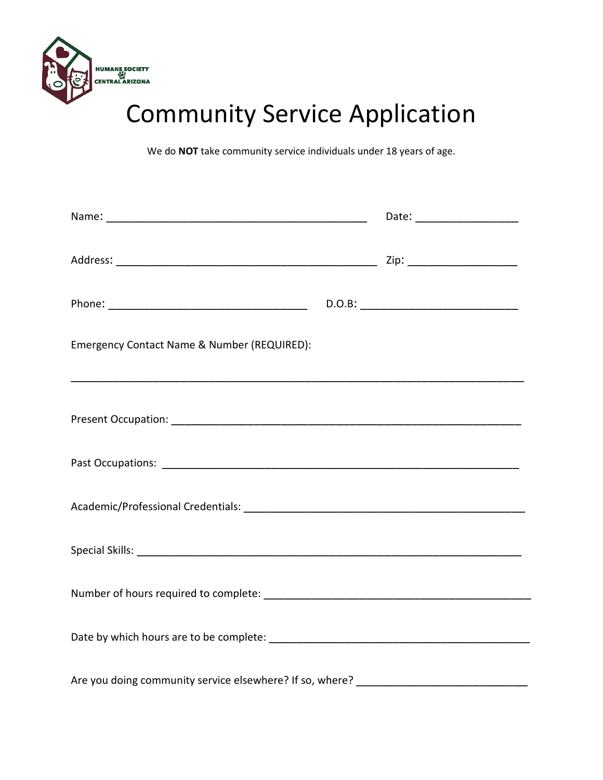

## Community Service Application

We do **NOT** take community service individuals under 18 years of age.

| Emergency Contact Name & Number (REQUIRED):                                       |  |
|-----------------------------------------------------------------------------------|--|
|                                                                                   |  |
|                                                                                   |  |
|                                                                                   |  |
|                                                                                   |  |
|                                                                                   |  |
|                                                                                   |  |
| Are you doing community service elsewhere? If so, where? ________________________ |  |